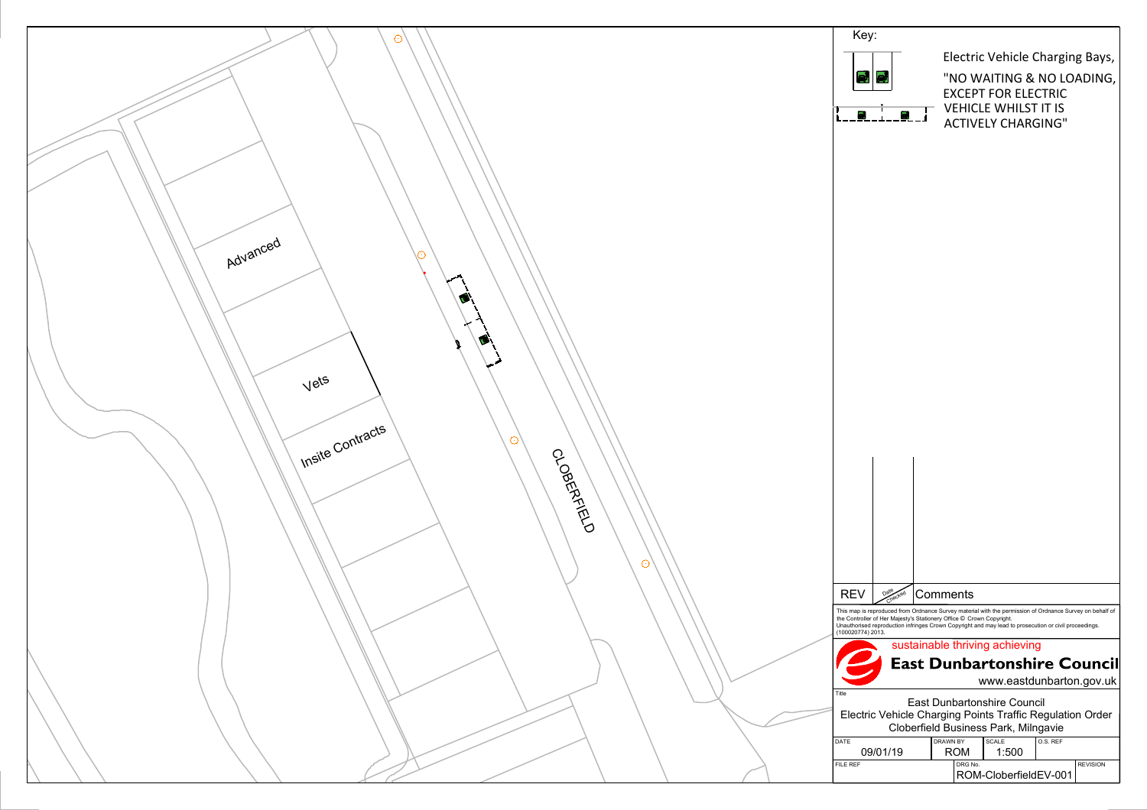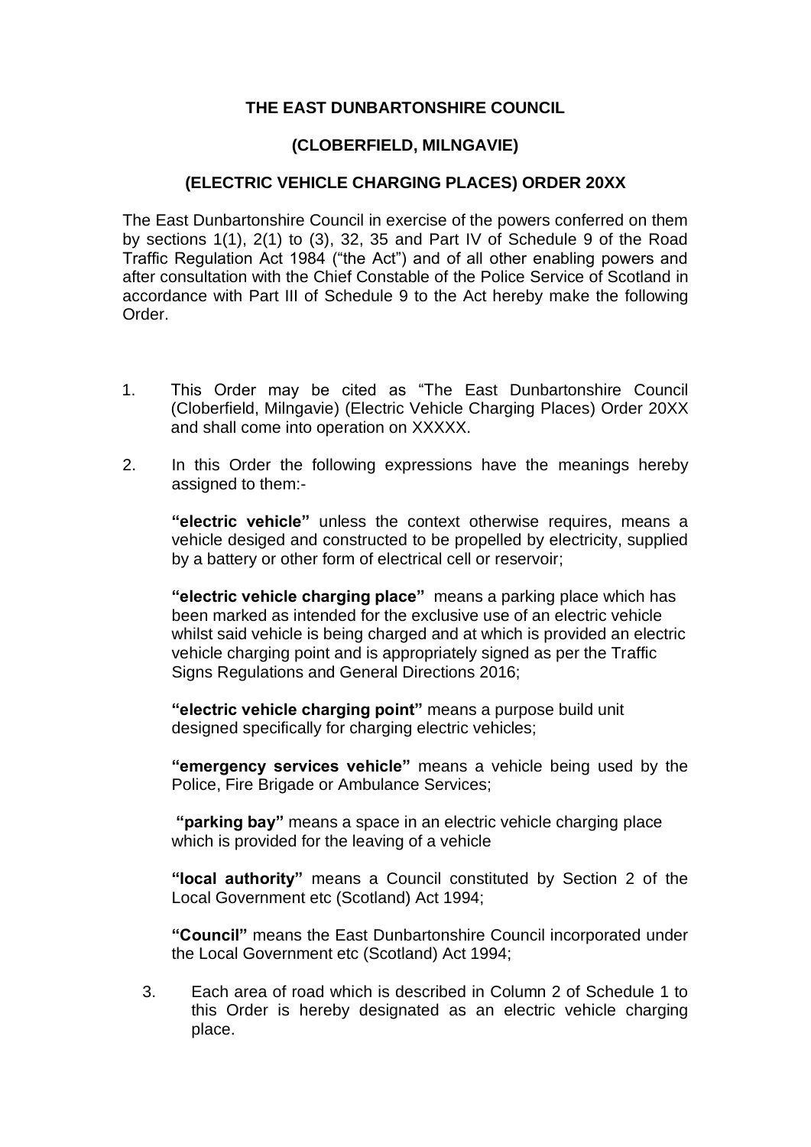# **THE EAST DUNBARTONSHIRE COUNCIL**

# **(CLOBERFIELD, MILNGAVIE)**

# **(ELECTRIC VEHICLE CHARGING PLACES) ORDER 20XX**

The East Dunbartonshire Council in exercise of the powers conferred on them by sections 1(1), 2(1) to (3), 32, 35 and Part IV of Schedule 9 of the Road Traffic Regulation Act 1984 ("the Act") and of all other enabling powers and after consultation with the Chief Constable of the Police Service of Scotland in accordance with Part III of Schedule 9 to the Act hereby make the following Order.

- 1. This Order may be cited as "The East Dunbartonshire Council (Cloberfield, Milngavie) (Electric Vehicle Charging Places) Order 20XX and shall come into operation on XXXXX.
- 2. In this Order the following expressions have the meanings hereby assigned to them:-

**"electric vehicle"** unless the context otherwise requires, means a vehicle desiged and constructed to be propelled by electricity, supplied by a battery or other form of electrical cell or reservoir;

**"electric vehicle charging place"** means a parking place which has been marked as intended for the exclusive use of an electric vehicle whilst said vehicle is being charged and at which is provided an electric vehicle charging point and is appropriately signed as per the Traffic Signs Regulations and General Directions 2016;

**"electric vehicle charging point"** means a purpose build unit designed specifically for charging electric vehicles;

**"emergency services vehicle"** means a vehicle being used by the Police, Fire Brigade or Ambulance Services;

**"parking bay"** means a space in an electric vehicle charging place which is provided for the leaving of a vehicle

**"local authority"** means a Council constituted by Section 2 of the Local Government etc (Scotland) Act 1994;

**"Council"** means the East Dunbartonshire Council incorporated under the Local Government etc (Scotland) Act 1994;

3. Each area of road which is described in Column 2 of Schedule 1 to this Order is hereby designated as an electric vehicle charging place.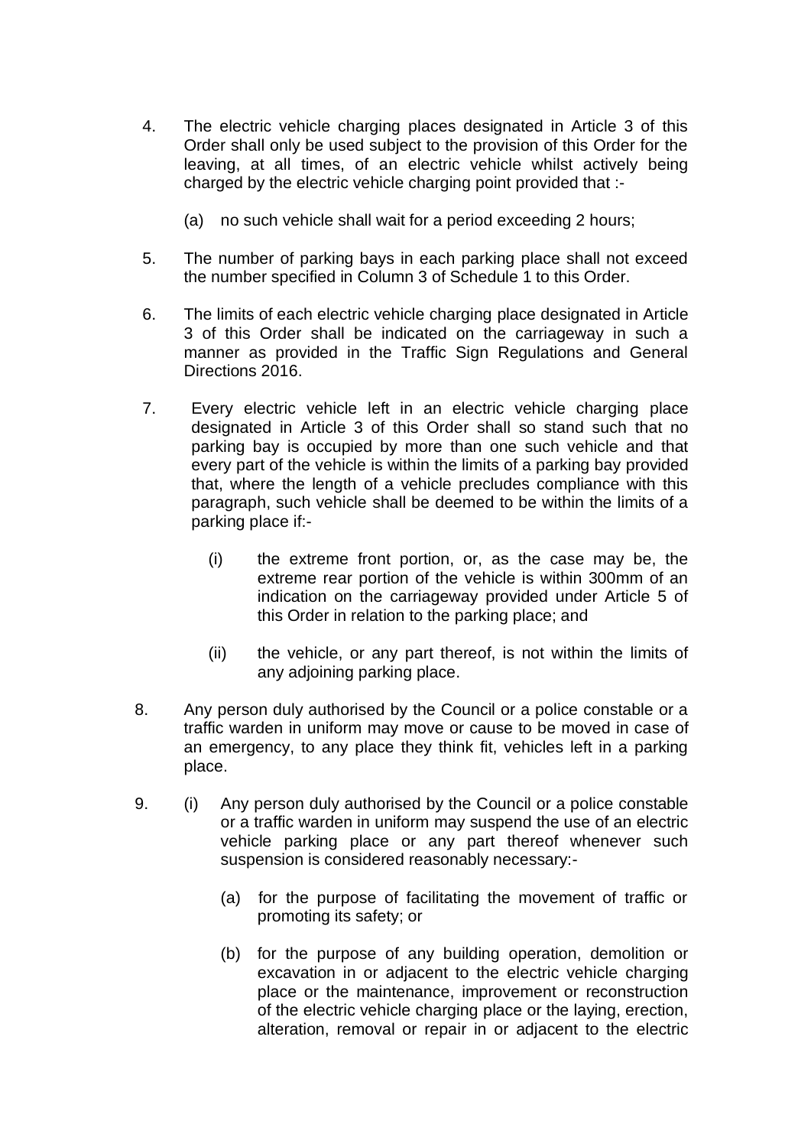- 4. The electric vehicle charging places designated in Article 3 of this Order shall only be used subject to the provision of this Order for the leaving, at all times, of an electric vehicle whilst actively being charged by the electric vehicle charging point provided that :-
	- (a) no such vehicle shall wait for a period exceeding 2 hours;
- 5. The number of parking bays in each parking place shall not exceed the number specified in Column 3 of Schedule 1 to this Order.
- 6. The limits of each electric vehicle charging place designated in Article 3 of this Order shall be indicated on the carriageway in such a manner as provided in the Traffic Sign Regulations and General Directions 2016.
- 7. Every electric vehicle left in an electric vehicle charging place designated in Article 3 of this Order shall so stand such that no parking bay is occupied by more than one such vehicle and that every part of the vehicle is within the limits of a parking bay provided that, where the length of a vehicle precludes compliance with this paragraph, such vehicle shall be deemed to be within the limits of a parking place if:-
	- (i) the extreme front portion, or, as the case may be, the extreme rear portion of the vehicle is within 300mm of an indication on the carriageway provided under Article 5 of this Order in relation to the parking place; and
	- (ii) the vehicle, or any part thereof, is not within the limits of any adjoining parking place.
- 8. Any person duly authorised by the Council or a police constable or a traffic warden in uniform may move or cause to be moved in case of an emergency, to any place they think fit, vehicles left in a parking place.
- 9. (i) Any person duly authorised by the Council or a police constable or a traffic warden in uniform may suspend the use of an electric vehicle parking place or any part thereof whenever such suspension is considered reasonably necessary:-
	- (a) for the purpose of facilitating the movement of traffic or promoting its safety; or
	- (b) for the purpose of any building operation, demolition or excavation in or adjacent to the electric vehicle charging place or the maintenance, improvement or reconstruction of the electric vehicle charging place or the laying, erection, alteration, removal or repair in or adjacent to the electric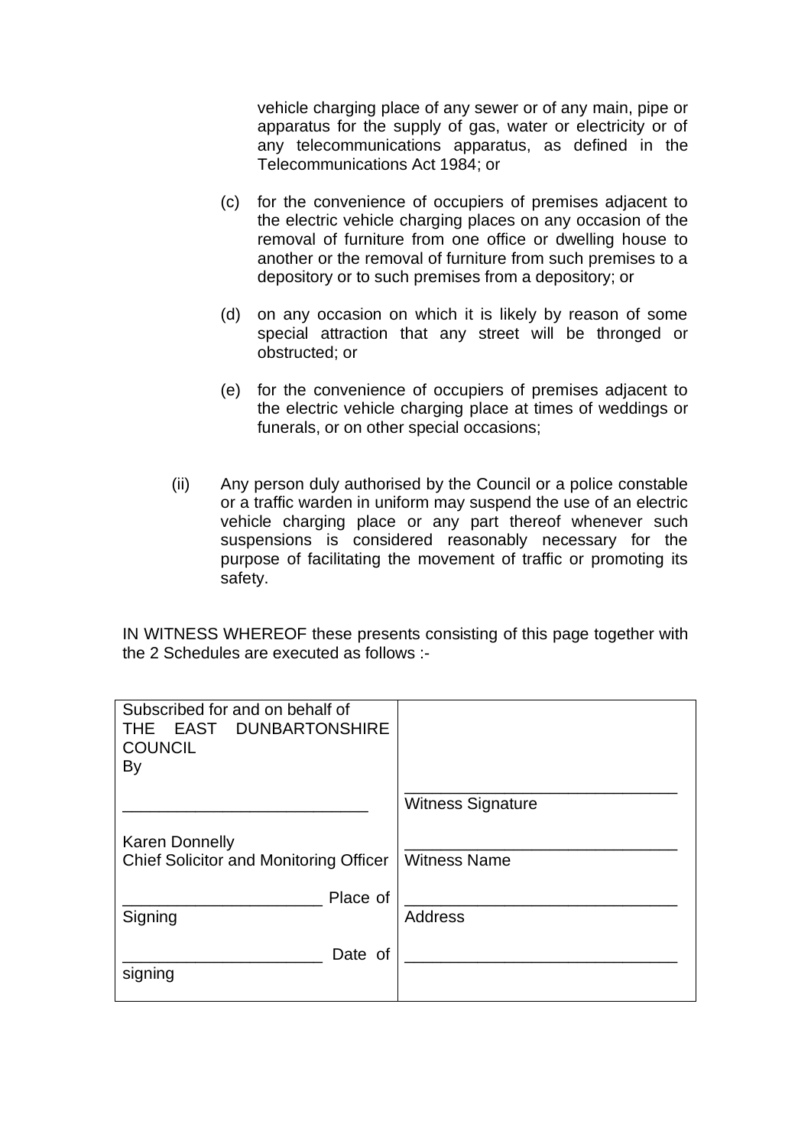vehicle charging place of any sewer or of any main, pipe or apparatus for the supply of gas, water or electricity or of any telecommunications apparatus, as defined in the Telecommunications Act 1984; or

- (c) for the convenience of occupiers of premises adjacent to the electric vehicle charging places on any occasion of the removal of furniture from one office or dwelling house to another or the removal of furniture from such premises to a depository or to such premises from a depository; or
- (d) on any occasion on which it is likely by reason of some special attraction that any street will be thronged or obstructed; or
- (e) for the convenience of occupiers of premises adjacent to the electric vehicle charging place at times of weddings or funerals, or on other special occasions;
- (ii) Any person duly authorised by the Council or a police constable or a traffic warden in uniform may suspend the use of an electric vehicle charging place or any part thereof whenever such suspensions is considered reasonably necessary for the purpose of facilitating the movement of traffic or promoting its safety.

IN WITNESS WHEREOF these presents consisting of this page together with the 2 Schedules are executed as follows :-

| Subscribed for and on behalf of<br>THE EAST DUNBARTONSHIRE<br><b>COUNCIL</b><br>By |                          |
|------------------------------------------------------------------------------------|--------------------------|
|                                                                                    | <b>Witness Signature</b> |
| <b>Karen Donnelly</b><br><b>Chief Solicitor and Monitoring Officer</b>             | <b>Witness Name</b>      |
| Place of<br>Signing                                                                | <b>Address</b>           |
| Date of<br>signing                                                                 |                          |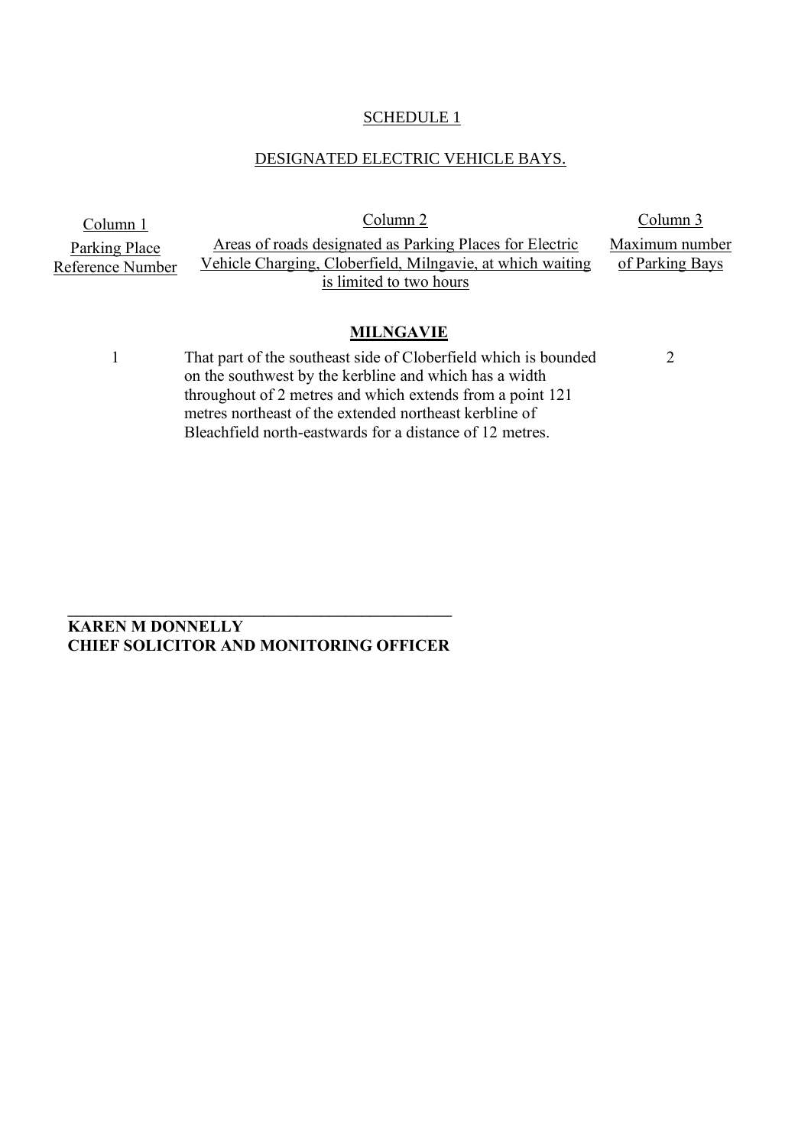### SCHEDULE<sub>1</sub>

### DESIGNATED ELECTRIC VEHICLE BAYS.

Column 1 Column 2 Column 2 Column 3 Parking Place Reference Number Areas of roads designated as Parking Places for Electric Vehicle Charging, Cloberfield, Milngavie, at which waiting is limited to two hours

Maximum number of Parking Bays

 $\overline{2}$ 

#### **MILNGAVIE**

1 That part of the southeast side of Cloberfield which is bounded on the southwest by the kerbline and which has a width throughout of 2 metres and which extends from a point 121 metres northeast of the extended northeast kerbline of Bleachfield north-eastwards for a distance of 12 metres.

**KAREN M DONNELLY CHIEF SOLICITOR AND MONITORING OFFICER**

**\_\_\_\_\_\_\_\_\_\_\_\_\_\_\_\_\_\_\_\_\_\_\_\_\_\_\_\_\_\_\_\_\_\_\_\_\_\_\_\_\_\_\_\_\_\_\_**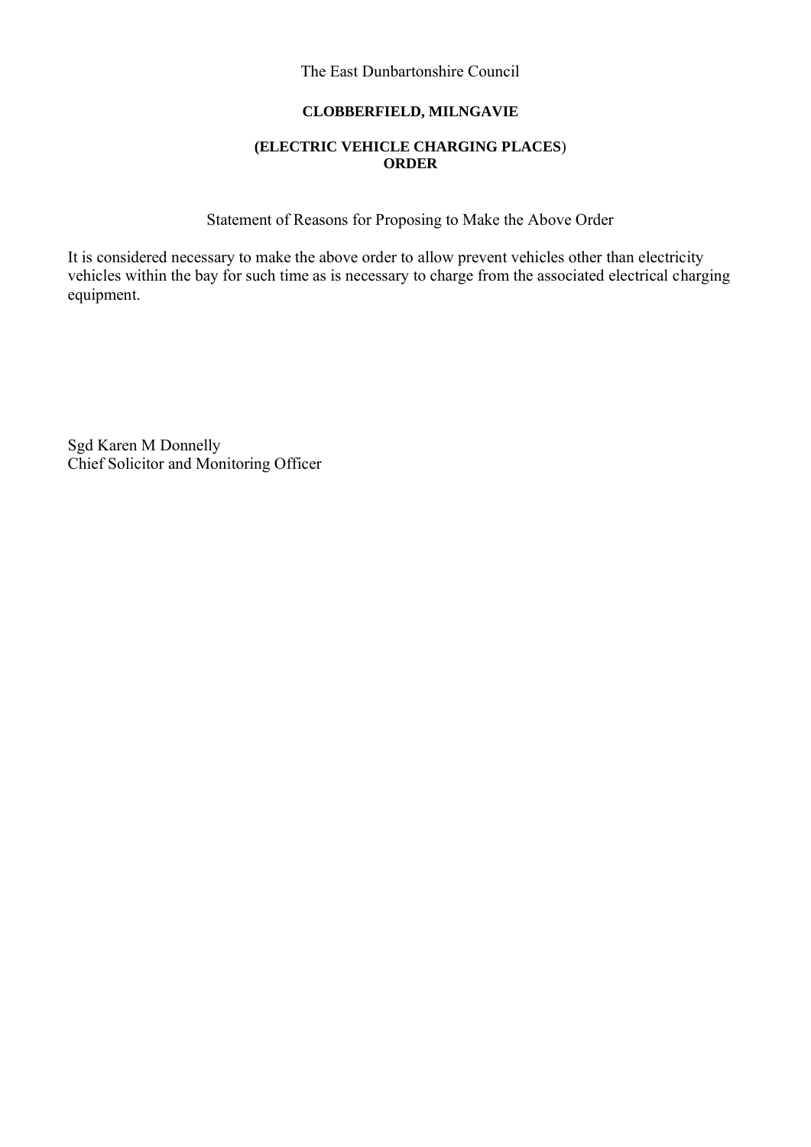## **CLOBBERFIELD, MILNGAVIE**

### **(ELECTRIC VEHICLE CHARGING PLACES**) **ORDER**

Statement of Reasons for Proposing to Make the Above Order

It is considered necessary to make the above order to allow prevent vehicles other than electricity vehicles within the bay for such time as is necessary to charge from the associated electrical charging equipment.

Sgd Karen M Donnelly Chief Solicitor and Monitoring Officer